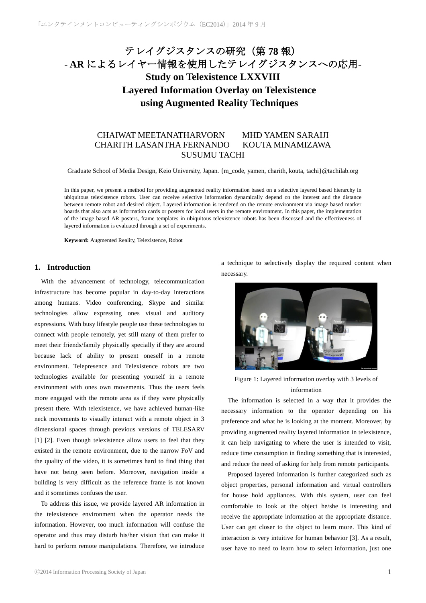# テレイグジスタンスの研究(第 **78** 報) **- AR** によるレイヤー情報を使用したテレイグジスタンスへの応用**-Study on Telexistence LXXVIII Layered Information Overlay on Telexistence using Augmented Reality Techniques**

## CHAIWAT MEETANATHARVORN MHD YAMEN SARAIJI CHARITH LASANTHA FERNANDO KOUTA MINAMIZAWA SUSUMU TACHI

Graduate School of Media Design, Keio University, Japan. {m\_code, yamen, charith, kouta, tachi}@tachilab.org

In this paper, we present a method for providing augmented reality information based on a selective layered based hierarchy in ubiquitous telexistence robots. User can receive selective information dynamically depend on the interest and the distance between remote robot and desired object. Layered information is rendered on the remote environment via image based marker boards that also acts as information cards or posters for local users in the remote environment. In this paper, the implementation of the image based AR posters, frame templates in ubiquitous telexistence robots has been discussed and the effectiveness of layered information is evaluated through a set of experiments.

**Keyword:** Augmented Reality, Telexistence, Robot

## **1. Introduction**

 With the advancement of technology, telecommunication infrastructure has become popular in day-to-day interactions among humans. Video conferencing, Skype and similar technologies allow expressing ones visual and auditory expressions. With busy lifestyle people use these technologies to connect with people remotely, yet still many of them prefer to meet their friends/family physically specially if they are around because lack of ability to present oneself in a remote environment. Telepresence and Telexistence robots are two technologies available for presenting yourself in a remote environment with ones own movements. Thus the users feels more engaged with the remote area as if they were physically present there. With telexistence, we have achieved human-like neck movements to visually interact with a remote object in 3 dimensional spaces through previous versions of TELESARV [1] [2]. Even though telexistence allow users to feel that they existed in the remote environment, due to the narrow FoV and the quality of the video, it is sometimes hard to find thing that have not being seen before. Moreover, navigation inside a building is very difficult as the reference frame is not known and it sometimes confuses the user.

To address this issue, we provide layered AR information in the telexistence environment when the operator needs the information. However, too much information will confuse the operator and thus may disturb his/her vision that can make it hard to perform remote manipulations. Therefore, we introduce a technique to selectively display the required content when necessary.



Figure 1: Layered information overlay with 3 levels of information

 The information is selected in a way that it provides the necessary information to the operator depending on his preference and what he is looking at the moment. Moreover, by providing augmented reality layered information in telexistence, it can help navigating to where the user is intended to visit, reduce time consumption in finding something that is interested, and reduce the need of asking for help from remote participants.

 Proposed layered Information is further categorized such as object properties, personal information and virtual controllers for house hold appliances. With this system, user can feel comfortable to look at the object he/she is interesting and receive the appropriate information at the appropriate distance. User can get closer to the object to learn more. This kind of interaction is very intuitive for human behavior [3]. As a result, user have no need to learn how to select information, just one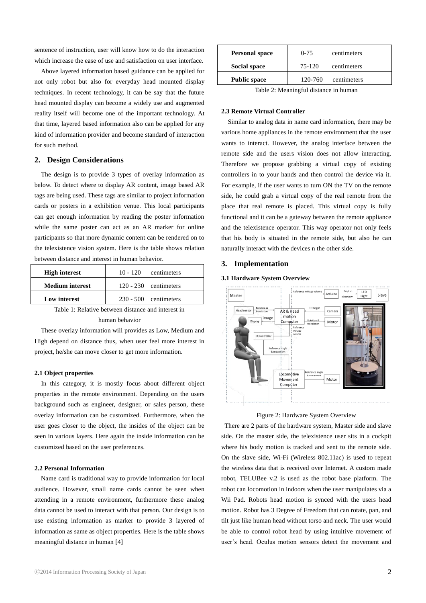sentence of instruction, user will know how to do the interaction which increase the ease of use and satisfaction on user interface.

 Above layered information based guidance can be applied for not only robot but also for everyday head mounted display techniques. In recent technology, it can be say that the future head mounted display can become a widely use and augmented reality itself will become one of the important technology. At that time, layered based information also can be applied for any kind of information provider and become standard of interaction for such method.

## **2. Design Considerations**

 The design is to provide 3 types of overlay information as below. To detect where to display AR content, image based AR tags are being used. These tags are similar to project information cards or posters in a exhibition venue. This local participants can get enough information by reading the poster information while the same poster can act as an AR marker for online participants so that more dynamic content can be rendered on to the telexistence vision system. Here is the table shows relation between distance and interest in human behavior.

| <b>High interest</b>   | $10 - 120$ centimeters  |
|------------------------|-------------------------|
| <b>Medium</b> interest | $120 - 230$ centimeters |
| Low interest           | $230 - 500$ centimeters |

Table 1: Relative between distance and interest in human behavior

These overlay information will provides as Low, Medium and High depend on distance thus, when user feel more interest in project, he/she can move closer to get more information.

#### **2.1 Object properties**

 In this category, it is mostly focus about different object properties in the remote environment. Depending on the users background such as engineer, designer, or sales person, these overlay information can be customized. Furthermore, when the user goes closer to the object, the insides of the object can be seen in various layers. Here again the inside information can be customized based on the user preferences.

#### **2.2 Personal Information**

Name card is traditional way to provide information for local audience. However, small name cards cannot be seen when attending in a remote environment, furthermore these analog data cannot be used to interact with that person. Our design is to use existing information as marker to provide 3 layered of information as same as object properties. Here is the table shows meaningful distance in human [4]

| <b>Personal space</b> | $0 - 75$<br>centimeters |             |
|-----------------------|-------------------------|-------------|
| Social space          | 75-120                  | centimeters |
| <b>Public space</b>   | 120-760                 | centimeters |

Table 2: Meaningful distance in human

#### **2.3 Remote Virtual Controller**

 Similar to analog data in name card information, there may be various home appliances in the remote environment that the user wants to interact. However, the analog interface between the remote side and the users vision does not allow interacting. Therefore we propose grabbing a virtual copy of existing controllers in to your hands and then control the device via it. For example, if the user wants to turn ON the TV on the remote side, he could grab a virtual copy of the real remote from the place that real remote is placed. This virtual copy is fully functional and it can be a gateway between the remote appliance and the telexistence operator. This way operator not only feels that his body is situated in the remote side, but also he can naturally interact with the devices n the other side.

## **3. Implementation**

#### **3.1 Hardware System Overview**



Figure 2: Hardware System Overview

There are 2 parts of the hardware system, Master side and slave side. On the master side, the telexistence user sits in a cockpit where his body motion is tracked and sent to the remote side. On the slave side, Wi-Fi (Wireless 802.11ac) is used to repeat the wireless data that is received over Internet. A custom made robot, TELUBee v.2 is used as the robot base platform. The robot can locomotion in indoors when the user manipulates via a Wii Pad. Robots head motion is synced with the users head motion. Robot has 3 Degree of Freedom that can rotate, pan, and tilt just like human head without torso and neck. The user would be able to control robot head by using intuitive movement of user's head. Oculus motion sensors detect the movement and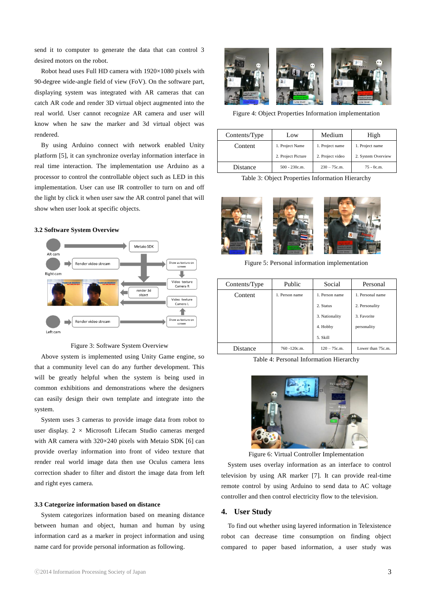send it to computer to generate the data that can control 3 desired motors on the robot.

 Robot head uses Full HD camera with 1920×1080 pixels with 90-degree wide-angle field of view (FoV). On the software part, displaying system was integrated with AR cameras that can catch AR code and render 3D virtual object augmented into the real world. User cannot recognize AR camera and user will know when he saw the marker and 3d virtual object was rendered.

 By using Arduino connect with network enabled Unity platform [5], it can synchronize overlay information interface in real time interaction. The implementation use Arduino as a processor to control the controllable object such as LED in this implementation. User can use IR controller to turn on and off the light by click it when user saw the AR control panel that will show when user look at specific objects.

## **3.2 Software System Overview**



Figure 3: Software System Overview

 Above system is implemented using Unity Game engine, so that a community level can do any further development. This will be greatly helpful when the system is being used in common exhibitions and demonstrations where the designers can easily design their own template and integrate into the system.

 System uses 3 cameras to provide image data from robot to user display.  $2 \times$  Microsoft Lifecam Studio cameras merged with AR camera with 320×240 pixels with Metaio SDK [6] can provide overlay information into front of video texture that render real world image data then use Oculus camera lens correction shader to filter and distort the image data from left and right eyes camera.

## **3.3 Categorize information based on distance**

System categorizes information based on meaning distance between human and object, human and human by using information card as a marker in project information and using name card for provide personal information as following.



Figure 4: Object Properties Information implementation

| Contents/Type | Low                | Medium           | High               |
|---------------|--------------------|------------------|--------------------|
| Content       | 1. Project Name    | 1. Project name  | 1. Project name    |
|               | 2. Project Picture | 2. Project video | 2. System Overview |
| Distance      | $500 - 230c.m.$    | $230 - 75c.m.$   | $75 - 0c.m.$       |

Table 3: Object Properties Information Hierarchy



Figure 5: Personal information implementation

| Contents/Type | Public         | Social         | Personal          |
|---------------|----------------|----------------|-------------------|
| Content       | 1. Person name | 1. Person name | 1. Personal name  |
|               |                | 2. Status      | 2. Personality    |
|               |                | 3. Nationality | 3. Favorite       |
|               |                | 4. Hobby       | personality       |
|               |                | 5. Skill       |                   |
| Distance      | 760 -120c.m.   | $120 - 75c.m.$ | Lower than 75c.m. |

Table 4: Personal Information Hierarchy



Figure 6: Virtual Controller Implementation

System uses overlay information as an interface to control television by using AR marker [7]. It can provide real-time remote control by using Arduino to send data to AC voltage controller and then control electricity flow to the television.

#### **4. User Study**

 To find out whether using layered information in Telexistence robot can decrease time consumption on finding object compared to paper based information, a user study was